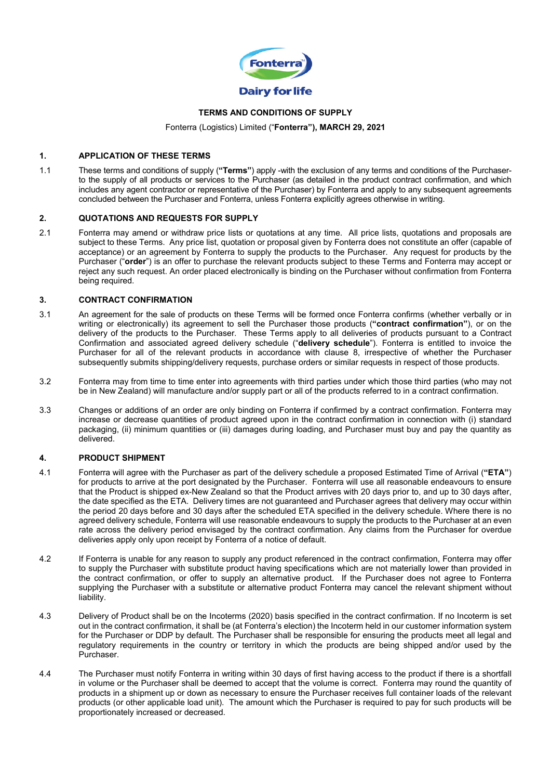

# **TERMS AND CONDITIONS OF SUPPLY**

Fonterra (Logistics) Limited ("**Fonterra"), MARCH 29, 2021**

#### **1. APPLICATION OF THESE TERMS**

1.1 These terms and conditions of supply (**"Terms"**) apply -with the exclusion of any terms and conditions of the Purchaserto the supply of all products or services to the Purchaser (as detailed in the product contract confirmation, and which includes any agent contractor or representative of the Purchaser) by Fonterra and apply to any subsequent agreements concluded between the Purchaser and Fonterra, unless Fonterra explicitly agrees otherwise in writing.

#### **2. QUOTATIONS AND REQUESTS FOR SUPPLY**

2.1 Fonterra may amend or withdraw price lists or quotations at any time. All price lists, quotations and proposals are subject to these Terms. Any price list, quotation or proposal given by Fonterra does not constitute an offer (capable of acceptance) or an agreement by Fonterra to supply the products to the Purchaser. Any request for products by the Purchaser ("**order**") is an offer to purchase the relevant products subject to these Terms and Fonterra may accept or reject any such request. An order placed electronically is binding on the Purchaser without confirmation from Fonterra being required.

#### $3.$ **3. CONTRACT CONFIRMATION**

- 3.1 An agreement for the sale of products on these Terms will be formed once Fonterra confirms (whether verbally or in writing or electronically) its agreement to sell the Purchaser those products (**"contract confirmation"**), or on the delivery of the products to the Purchaser. These Terms apply to all deliveries of products pursuant to a Contract Confirmation and associated agreed delivery schedule ("**delivery schedule**"). Fonterra is entitled to invoice the Purchaser for all of the relevant products in accordance with clause 8, irrespective of whether the Purchaser subsequently submits shipping/delivery requests, purchase orders or similar requests in respect of those products.
- 3.2 Fonterra may from time to time enter into agreements with third parties under which those third parties (who may not be in New Zealand) will manufacture and/or supply part or all of the products referred to in a contract confirmation.
- 3.3 Changes or additions of an order are only binding on Fonterra if confirmed by a contract confirmation. Fonterra may increase or decrease quantities of product agreed upon in the contract confirmation in connection with (i) standard packaging, (ii) minimum quantities or (iii) damages during loading, and Purchaser must buy and pay the quantity as delivered.

#### **4. PRODUCT SHIPMENT**

- 4.1 Fonterra will agree with the Purchaser as part of the delivery schedule a proposed Estimated Time of Arrival (**"ETA"**) for products to arrive at the port designated by the Purchaser. Fonterra will use all reasonable endeavours to ensure that the Product is shipped ex-New Zealand so that the Product arrives with 20 days prior to, and up to 30 days after, the date specified as the ETA. Delivery times are not guaranteed and Purchaser agrees that delivery may occur within the period 20 days before and 30 days after the scheduled ETA specified in the delivery schedule. Where there is no agreed delivery schedule, Fonterra will use reasonable endeavours to supply the products to the Purchaser at an even rate across the delivery period envisaged by the contract confirmation. Any claims from the Purchaser for overdue deliveries apply only upon receipt by Fonterra of a notice of default.
- 4.2 If Fonterra is unable for any reason to supply any product referenced in the contract confirmation, Fonterra may offer to supply the Purchaser with substitute product having specifications which are not materially lower than provided in the contract confirmation, or offer to supply an alternative product. If the Purchaser does not agree to Fonterra supplying the Purchaser with a substitute or alternative product Fonterra may cancel the relevant shipment without liability.
- 4.3 Delivery of Product shall be on the Incoterms (2020) basis specified in the contract confirmation. If no Incoterm is set out in the contract confirmation, it shall be (at Fonterra's election) the Incoterm held in our customer information system for the Purchaser or DDP by default. The Purchaser shall be responsible for ensuring the products meet all legal and regulatory requirements in the country or territory in which the products are being shipped and/or used by the Purchaser.
- 4.4 The Purchaser must notify Fonterra in writing within 30 days of first having access to the product if there is a shortfall in volume or the Purchaser shall be deemed to accept that the volume is correct. Fonterra may round the quantity of products in a shipment up or down as necessary to ensure the Purchaser receives full container loads of the relevant products (or other applicable load unit). The amount which the Purchaser is required to pay for such products will be proportionately increased or decreased.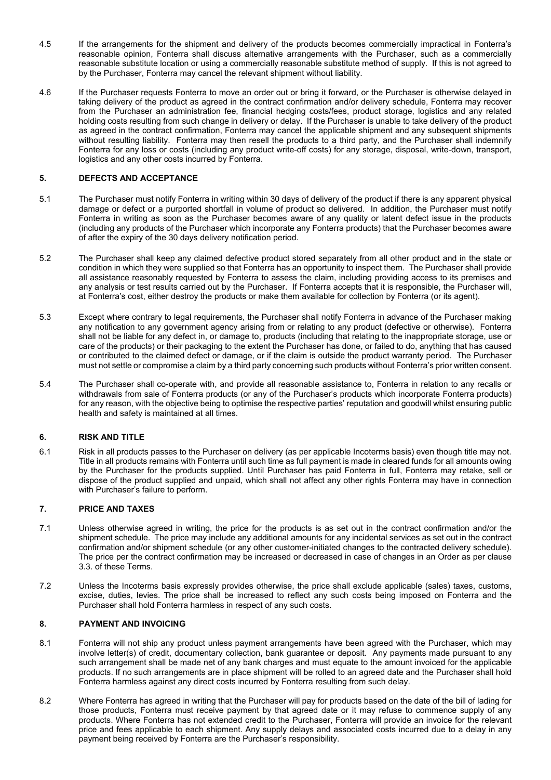- 4.5 If the arrangements for the shipment and delivery of the products becomes commercially impractical in Fonterra's reasonable opinion, Fonterra shall discuss alternative arrangements with the Purchaser, such as a commercially reasonable substitute location or using a commercially reasonable substitute method of supply. If this is not agreed to by the Purchaser, Fonterra may cancel the relevant shipment without liability.
- 4.6 If the Purchaser requests Fonterra to move an order out or bring it forward, or the Purchaser is otherwise delayed in taking delivery of the product as agreed in the contract confirmation and/or delivery schedule, Fonterra may recover from the Purchaser an administration fee, financial hedging costs/fees, product storage, logistics and any related holding costs resulting from such change in delivery or delay. If the Purchaser is unable to take delivery of the product as agreed in the contract confirmation, Fonterra may cancel the applicable shipment and any subsequent shipments without resulting liability. Fonterra may then resell the products to a third party, and the Purchaser shall indemnify Fonterra for any loss or costs (including any product write-off costs) for any storage, disposal, write-down, transport, logistics and any other costs incurred by Fonterra.

# **5. DEFECTS AND ACCEPTANCE**

- 5.1 The Purchaser must notify Fonterra in writing within 30 days of delivery of the product if there is any apparent physical damage or defect or a purported shortfall in volume of product so delivered. In addition, the Purchaser must notify Fonterra in writing as soon as the Purchaser becomes aware of any quality or latent defect issue in the products (including any products of the Purchaser which incorporate any Fonterra products) that the Purchaser becomes aware of after the expiry of the 30 days delivery notification period.
- 5.2 The Purchaser shall keep any claimed defective product stored separately from all other product and in the state or condition in which they were supplied so that Fonterra has an opportunity to inspect them. The Purchaser shall provide all assistance reasonably requested by Fonterra to assess the claim, including providing access to its premises and any analysis or test results carried out by the Purchaser. If Fonterra accepts that it is responsible, the Purchaser will, at Fonterra's cost, either destroy the products or make them available for collection by Fonterra (or its agent).
- 5.3 Except where contrary to legal requirements, the Purchaser shall notify Fonterra in advance of the Purchaser making any notification to any government agency arising from or relating to any product (defective or otherwise). Fonterra shall not be liable for any defect in, or damage to, products (including that relating to the inappropriate storage, use or care of the products) or their packaging to the extent the Purchaser has done, or failed to do, anything that has caused or contributed to the claimed defect or damage, or if the claim is outside the product warranty period. The Purchaser must not settle or compromise a claim by a third party concerning such products without Fonterra's prior written consent.
- 5.4 The Purchaser shall co-operate with, and provide all reasonable assistance to, Fonterra in relation to any recalls or withdrawals from sale of Fonterra products (or any of the Purchaser's products which incorporate Fonterra products) for any reason, with the objective being to optimise the respective parties' reputation and goodwill whilst ensuring public health and safety is maintained at all times.

# **6. RISK AND TITLE**

6.1 Risk in all products passes to the Purchaser on delivery (as per applicable Incoterms basis) even though title may not. Title in all products remains with Fonterra until such time as full payment is made in cleared funds for all amounts owing by the Purchaser for the products supplied. Until Purchaser has paid Fonterra in full, Fonterra may retake, sell or dispose of the product supplied and unpaid, which shall not affect any other rights Fonterra may have in connection with Purchaser's failure to perform.

# **7. PRICE AND TAXES**

- 7.1 Unless otherwise agreed in writing, the price for the products is as set out in the contract confirmation and/or the shipment schedule. The price may include any additional amounts for any incidental services as set out in the contract confirmation and/or shipment schedule (or any other customer-initiated changes to the contracted delivery schedule). The price per the contract confirmation may be increased or decreased in case of changes in an Order as per clause 3.3. of these Terms.
- 7.2 Unless the Incoterms basis expressly provides otherwise, the price shall exclude applicable (sales) taxes, customs, excise, duties, levies. The price shall be increased to reflect any such costs being imposed on Fonterra and the Purchaser shall hold Fonterra harmless in respect of any such costs.

# **8. PAYMENT AND INVOICING**

- 8.1 Fonterra will not ship any product unless payment arrangements have been agreed with the Purchaser, which may involve letter(s) of credit, documentary collection, bank guarantee or deposit. Any payments made pursuant to any such arrangement shall be made net of any bank charges and must equate to the amount invoiced for the applicable products. If no such arrangements are in place shipment will be rolled to an agreed date and the Purchaser shall hold Fonterra harmless against any direct costs incurred by Fonterra resulting from such delay.
- 8.2 Where Fonterra has agreed in writing that the Purchaser will pay for products based on the date of the bill of lading for those products, Fonterra must receive payment by that agreed date or it may refuse to commence supply of any products. Where Fonterra has not extended credit to the Purchaser, Fonterra will provide an invoice for the relevant price and fees applicable to each shipment. Any supply delays and associated costs incurred due to a delay in any payment being received by Fonterra are the Purchaser's responsibility.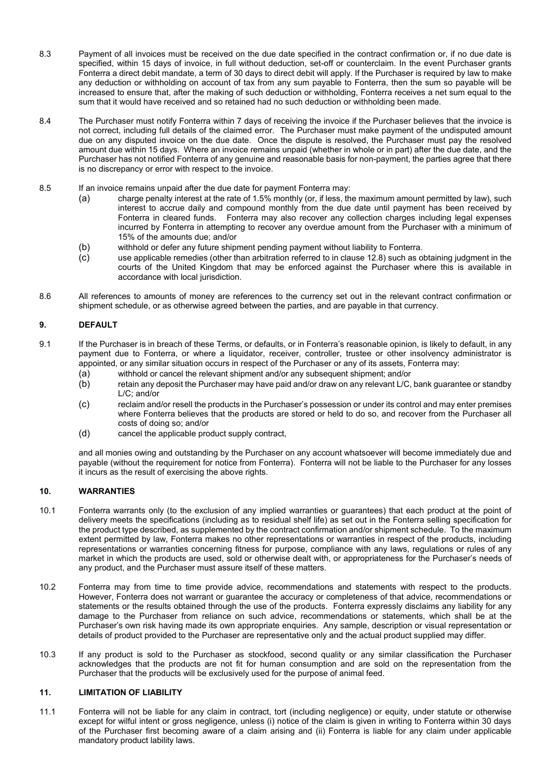- 8.3 Payment of all invoices must be received on the due date specified in the contract confirmation or, if no due date is specified, within 15 days of invoice, in full without deduction, set-off or counterclaim. In the event Purchaser grants Fonterra a direct debit mandate, a term of 30 days to direct debit will apply. If the Purchaser is required by law to make any deduction or withholding on account of tax from any sum payable to Fonterra, then the sum so payable will be increased to ensure that, after the making of such deduction or withholding, Fonterra receives a net sum equal to the sum that it would have received and so retained had no such deduction or withholding been made.
- 8.4 The Purchaser must notify Fonterra within 7 days of receiving the invoice if the Purchaser believes that the invoice is not correct, including full details of the claimed error. The Purchaser must make payment of the undisputed amount due on any disputed invoice on the due date. Once the dispute is resolved, the Purchaser must pay the resolved amount due within 15 days. Where an invoice remains unpaid (whether in whole or in part) after the due date, and the Purchaser has not notified Fonterra of any genuine and reasonable basis for non-payment, the parties agree that there is no discrepancy or error with respect to the invoice.
- 8.5 If an invoice remains unpaid after the due date for payment Fonterra may:
	- (a) charge penalty interest at the rate of 1.5% monthly (or, if less, the maximum amount permitted by law), such interest to accrue daily and compound monthly from the due date until payment has been received by Fonterra in cleared funds. Fonterra may also recover any collection charges including legal expenses incurred by Fonterra in attempting to recover any overdue amount from the Purchaser with a minimum of 15% of the amounts due; and/or
	- (b) withhold or defer any future shipment pending payment without liability to Fonterra.
	- use applicable remedies (other than arbitration referred to in clause 12.8) such as obtaining judgment in the courts of the United Kingdom that may be enforced against the Purchaser where this is available in accordance with local jurisdiction.
- 8.6 All references to amounts of money are references to the currency set out in the relevant contract confirmation or shipment schedule, or as otherwise agreed between the parties, and are payable in that currency.

# **9. DEFAULT**

- 9.1 If the Purchaser is in breach of these Terms, or defaults, or in Fonterra's reasonable opinion, is likely to default, in any payment due to Fonterra, or where a liquidator, receiver, controller, trustee or other insolvency administrator is appointed, or any similar situation occurs in respect of the Purchaser or any of its assets, Fonterra may:
	- (a) withhold or cancel the relevant shipment and/or any subsequent shipment; and/or
	- retain any deposit the Purchaser may have paid and/or draw on any relevant L/C, bank guarantee or standby L/C; and/or
	- (c) reclaim and/or resell the products in the Purchaser's possession or under its control and may enter premises where Fonterra believes that the products are stored or held to do so, and recover from the Purchaser all costs of doing so; and/or
	- (d) cancel the applicable product supply contract,

and all monies owing and outstanding by the Purchaser on any account whatsoever will become immediately due and payable (without the requirement for notice from Fonterra). Fonterra will not be liable to the Purchaser for any losses it incurs as the result of exercising the above rights.

#### **10. WARRANTIES**

- 10.1 Fonterra warrants only (to the exclusion of any implied warranties or guarantees) that each product at the point of delivery meets the specifications (including as to residual shelf life) as set out in the Fonterra selling specification for the product type described, as supplemented by the contract confirmation and/or shipment schedule. To the maximum extent permitted by law, Fonterra makes no other representations or warranties in respect of the products, including representations or warranties concerning fitness for purpose, compliance with any laws, regulations or rules of any market in which the products are used, sold or otherwise dealt with, or appropriateness for the Purchaser's needs of any product, and the Purchaser must assure itself of these matters.
- 10.2 Fonterra may from time to time provide advice, recommendations and statements with respect to the products. However, Fonterra does not warrant or guarantee the accuracy or completeness of that advice, recommendations or statements or the results obtained through the use of the products. Fonterra expressly disclaims any liability for any damage to the Purchaser from reliance on such advice, recommendations or statements, which shall be at the Purchaser's own risk having made its own appropriate enquiries. Any sample, description or visual representation or details of product provided to the Purchaser are representative only and the actual product supplied may differ.
- 10.3 If any product is sold to the Purchaser as stockfood, second quality or any similar classification the Purchaser acknowledges that the products are not fit for human consumption and are sold on the representation from the Purchaser that the products will be exclusively used for the purpose of animal feed.

# **11. LIMITATION OF LIABILITY**

11.1 Fonterra will not be liable for any claim in contract, tort (including negligence) or equity, under statute or otherwise except for wilful intent or gross negligence, unless (i) notice of the claim is given in writing to Fonterra within 30 days of the Purchaser first becoming aware of a claim arising and (ii) Fonterra is liable for any claim under applicable mandatory product lability laws.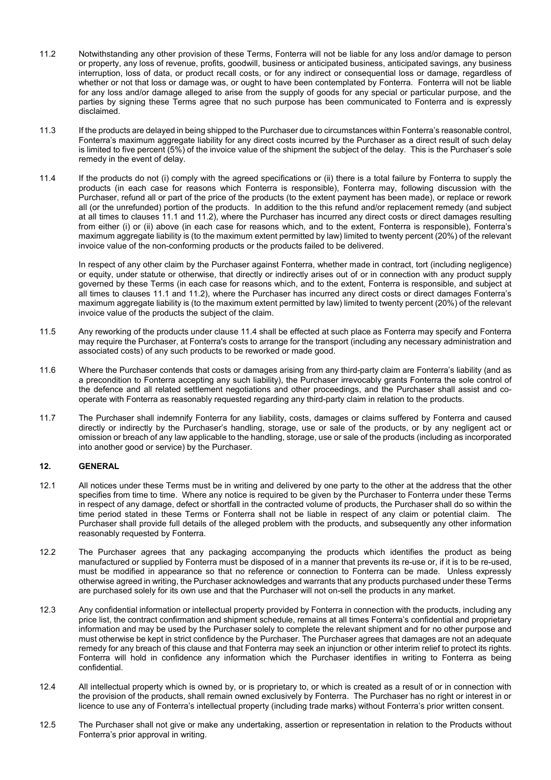- 11.2 Notwithstanding any other provision of these Terms, Fonterra will not be liable for any loss and/or damage to person or property, any loss of revenue, profits, goodwill, business or anticipated business, anticipated savings, any business interruption, loss of data, or product recall costs, or for any indirect or consequential loss or damage, regardless of whether or not that loss or damage was, or ought to have been contemplated by Fonterra. Fonterra will not be liable for any loss and/or damage alleged to arise from the supply of goods for any special or particular purpose, and the parties by signing these Terms agree that no such purpose has been communicated to Fonterra and is expressly disclaimed.
- 11.3 If the products are delayed in being shipped to the Purchaser due to circumstances within Fonterra's reasonable control, Fonterra's maximum aggregate liability for any direct costs incurred by the Purchaser as a direct result of such delay is limited to five percent (5%) of the invoice value of the shipment the subject of the delay. This is the Purchaser's sole remedy in the event of delay.
- 11.4 If the products do not (i) comply with the agreed specifications or (ii) there is a total failure by Fonterra to supply the products (in each case for reasons which Fonterra is responsible), Fonterra may, following discussion with the Purchaser, refund all or part of the price of the products (to the extent payment has been made), or replace or rework all (or the unrefunded) portion of the products. In addition to the this refund and/or replacement remedy (and subject at all times to clauses 11.1 and 11.2), where the Purchaser has incurred any direct costs or direct damages resulting from either (i) or (ii) above (in each case for reasons which, and to the extent, Fonterra is responsible), Fonterra's maximum aggregate liability is (to the maximum extent permitted by law) limited to twenty percent (20%) of the relevant invoice value of the non-conforming products or the products failed to be delivered.

<span id="page-3-0"></span>In respect of any other claim by the Purchaser against Fonterra, whether made in contract, tort (including negligence) or equity, under statute or otherwise, that directly or indirectly arises out of or in connection with any product supply governed by these Terms (in each case for reasons which, and to the extent, Fonterra is responsible, and subject at all times to clauses 11.1 and 11.2), where the Purchaser has incurred any direct costs or direct damages Fonterra's maximum aggregate liability is (to the maximum extent permitted by law) limited to twenty percent (20%) of the relevant invoice value of the products the subject of the claim.

- 11.5 Any reworking of the products under clause [11.4](#page-3-0) shall be effected at such place as Fonterra may specify and Fonterra may require the Purchaser, at Fonterra's costs to arrange for the transport (including any necessary administration and associated costs) of any such products to be reworked or made good.
- 11.6 Where the Purchaser contends that costs or damages arising from any third-party claim are Fonterra's liability (and as a precondition to Fonterra accepting any such liability), the Purchaser irrevocably grants Fonterra the sole control of the defence and all related settlement negotiations and other proceedings, and the Purchaser shall assist and cooperate with Fonterra as reasonably requested regarding any third-party claim in relation to the products.
- 11.7 The Purchaser shall indemnify Fonterra for any liability, costs, damages or claims suffered by Fonterra and caused directly or indirectly by the Purchaser's handling, storage, use or sale of the products, or by any negligent act or omission or breach of any law applicable to the handling, storage, use or sale of the products (including as incorporated into another good or service) by the Purchaser.

# **12. GENERAL**

- 12.1 All notices under these Terms must be in writing and delivered by one party to the other at the address that the other specifies from time to time. Where any notice is required to be given by the Purchaser to Fonterra under these Terms in respect of any damage, defect or shortfall in the contracted volume of products, the Purchaser shall do so within the time period stated in these Terms or Fonterra shall not be liable in respect of any claim or potential claim. The Purchaser shall provide full details of the alleged problem with the products, and subsequently any other information reasonably requested by Fonterra.
- 12.2 The Purchaser agrees that any packaging accompanying the products which identifies the product as being manufactured or supplied by Fonterra must be disposed of in a manner that prevents its re-use or, if it is to be re-used, must be modified in appearance so that no reference or connection to Fonterra can be made. Unless expressly otherwise agreed in writing, the Purchaser acknowledges and warrants that any products purchased under these Terms are purchased solely for its own use and that the Purchaser will not on-sell the products in any market.
- 12.3 Any confidential information or intellectual property provided by Fonterra in connection with the products, including any price list, the contract confirmation and shipment schedule, remains at all times Fonterra's confidential and proprietary information and may be used by the Purchaser solely to complete the relevant shipment and for no other purpose and must otherwise be kept in strict confidence by the Purchaser. The Purchaser agrees that damages are not an adequate remedy for any breach of this clause and that Fonterra may seek an injunction or other interim relief to protect its rights. Fonterra will hold in confidence any information which the Purchaser identifies in writing to Fonterra as being confidential.
- 12.4 All intellectual property which is owned by, or is proprietary to, or which is created as a result of or in connection with the provision of the products, shall remain owned exclusively by Fonterra. The Purchaser has no right or interest in or licence to use any of Fonterra's intellectual property (including trade marks) without Fonterra's prior written consent.
- 12.5 The Purchaser shall not give or make any undertaking, assertion or representation in relation to the Products without Fonterra's prior approval in writing.